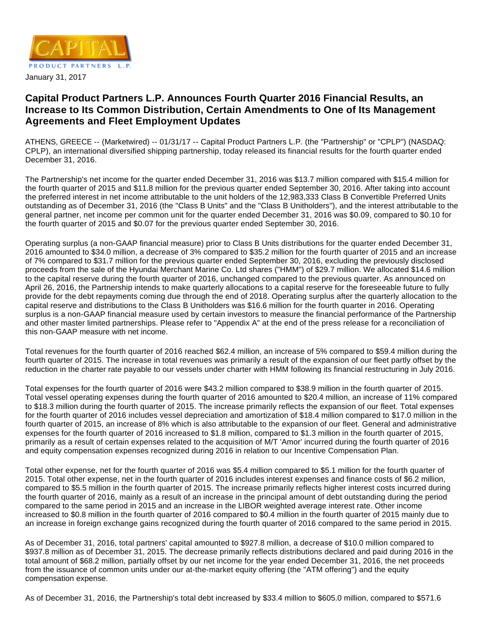

# **Capital Product Partners L.P. Announces Fourth Quarter 2016 Financial Results, an Increase to Its Common Distribution, Certain Amendments to One of Its Management Agreements and Fleet Employment Updates**

ATHENS, GREECE -- (Marketwired) -- 01/31/17 -- Capital Product Partners L.P. (the "Partnership" or "CPLP") (NASDAQ: CPLP), an international diversified shipping partnership, today released its financial results for the fourth quarter ended December 31, 2016.

The Partnership's net income for the quarter ended December 31, 2016 was \$13.7 million compared with \$15.4 million for the fourth quarter of 2015 and \$11.8 million for the previous quarter ended September 30, 2016. After taking into account the preferred interest in net income attributable to the unit holders of the 12,983,333 Class B Convertible Preferred Units outstanding as of December 31, 2016 (the "Class B Units" and the "Class B Unitholders"), and the interest attributable to the general partner, net income per common unit for the quarter ended December 31, 2016 was \$0.09, compared to \$0.10 for the fourth quarter of 2015 and \$0.07 for the previous quarter ended September 30, 2016.

Operating surplus (a non-GAAP financial measure) prior to Class B Units distributions for the quarter ended December 31, 2016 amounted to \$34.0 million, a decrease of 3% compared to \$35.2 million for the fourth quarter of 2015 and an increase of 7% compared to \$31.7 million for the previous quarter ended September 30, 2016, excluding the previously disclosed proceeds from the sale of the Hyundai Merchant Marine Co. Ltd shares ("HMM") of \$29.7 million. We allocated \$14.6 million to the capital reserve during the fourth quarter of 2016, unchanged compared to the previous quarter. As announced on April 26, 2016, the Partnership intends to make quarterly allocations to a capital reserve for the foreseeable future to fully provide for the debt repayments coming due through the end of 2018. Operating surplus after the quarterly allocation to the capital reserve and distributions to the Class B Unitholders was \$16.6 million for the fourth quarter in 2016. Operating surplus is a non-GAAP financial measure used by certain investors to measure the financial performance of the Partnership and other master limited partnerships. Please refer to "Appendix A" at the end of the press release for a reconciliation of this non-GAAP measure with net income.

Total revenues for the fourth quarter of 2016 reached \$62.4 million, an increase of 5% compared to \$59.4 million during the fourth quarter of 2015. The increase in total revenues was primarily a result of the expansion of our fleet partly offset by the reduction in the charter rate payable to our vessels under charter with HMM following its financial restructuring in July 2016.

Total expenses for the fourth quarter of 2016 were \$43.2 million compared to \$38.9 million in the fourth quarter of 2015. Total vessel operating expenses during the fourth quarter of 2016 amounted to \$20.4 million, an increase of 11% compared to \$18.3 million during the fourth quarter of 2015. The increase primarily reflects the expansion of our fleet. Total expenses for the fourth quarter of 2016 includes vessel depreciation and amortization of \$18.4 million compared to \$17.0 million in the fourth quarter of 2015, an increase of 8% which is also attributable to the expansion of our fleet. General and administrative expenses for the fourth quarter of 2016 increased to \$1.8 million, compared to \$1.3 million in the fourth quarter of 2015, primarily as a result of certain expenses related to the acquisition of M/T 'Amor' incurred during the fourth quarter of 2016 and equity compensation expenses recognized during 2016 in relation to our Incentive Compensation Plan.

Total other expense, net for the fourth quarter of 2016 was \$5.4 million compared to \$5.1 million for the fourth quarter of 2015. Total other expense, net in the fourth quarter of 2016 includes interest expenses and finance costs of \$6.2 million, compared to \$5.5 million in the fourth quarter of 2015. The increase primarily reflects higher interest costs incurred during the fourth quarter of 2016, mainly as a result of an increase in the principal amount of debt outstanding during the period compared to the same period in 2015 and an increase in the LIBOR weighted average interest rate. Other income increased to \$0.8 million in the fourth quarter of 2016 compared to \$0.4 million in the fourth quarter of 2015 mainly due to an increase in foreign exchange gains recognized during the fourth quarter of 2016 compared to the same period in 2015.

As of December 31, 2016, total partners' capital amounted to \$927.8 million, a decrease of \$10.0 million compared to \$937.8 million as of December 31, 2015. The decrease primarily reflects distributions declared and paid during 2016 in the total amount of \$68.2 million, partially offset by our net income for the year ended December 31, 2016, the net proceeds from the issuance of common units under our at-the-market equity offering (the "ATM offering") and the equity compensation expense.

As of December 31, 2016, the Partnership's total debt increased by \$33.4 million to \$605.0 million, compared to \$571.6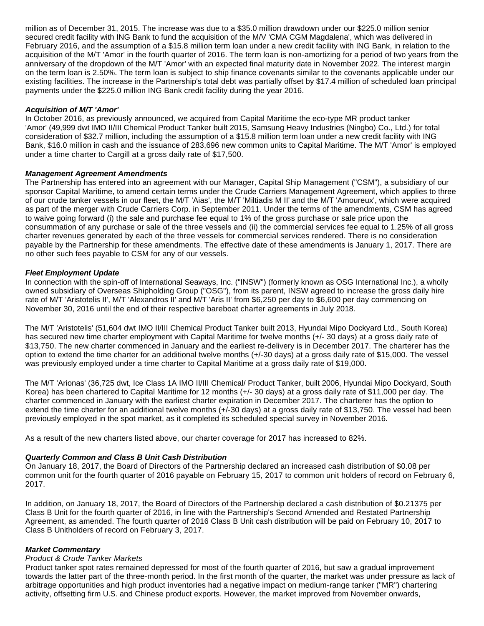million as of December 31, 2015. The increase was due to a \$35.0 million drawdown under our \$225.0 million senior secured credit facility with ING Bank to fund the acquisition of the M/V 'CMA CGM Magdalena', which was delivered in February 2016, and the assumption of a \$15.8 million term loan under a new credit facility with ING Bank, in relation to the acquisition of the M/T 'Amor' in the fourth quarter of 2016. The term loan is non-amortizing for a period of two years from the anniversary of the dropdown of the M/T 'Amor' with an expected final maturity date in November 2022. The interest margin on the term loan is 2.50%. The term loan is subject to ship finance covenants similar to the covenants applicable under our existing facilities. The increase in the Partnership's total debt was partially offset by \$17.4 million of scheduled loan principal payments under the \$225.0 million ING Bank credit facility during the year 2016.

### **Acquisition of M/T 'Amor'**

In October 2016, as previously announced, we acquired from Capital Maritime the eco-type MR product tanker 'Amor' (49,999 dwt IMO II/III Chemical Product Tanker built 2015, Samsung Heavy Industries (Ningbo) Co., Ltd.) for total consideration of \$32.7 million, including the assumption of a \$15.8 million term loan under a new credit facility with ING Bank, \$16.0 million in cash and the issuance of 283,696 new common units to Capital Maritime. The M/T 'Amor' is employed under a time charter to Cargill at a gross daily rate of \$17,500.

## **Management Agreement Amendments**

The Partnership has entered into an agreement with our Manager, Capital Ship Management ("CSM"), a subsidiary of our sponsor Capital Maritime, to amend certain terms under the Crude Carriers Management Agreement, which applies to three of our crude tanker vessels in our fleet, the M/T 'Aias', the M/T 'Miltiadis M II' and the M/T 'Amoureux', which were acquired as part of the merger with Crude Carriers Corp. in September 2011. Under the terms of the amendments, CSM has agreed to waive going forward (i) the sale and purchase fee equal to 1% of the gross purchase or sale price upon the consummation of any purchase or sale of the three vessels and (ii) the commercial services fee equal to 1.25% of all gross charter revenues generated by each of the three vessels for commercial services rendered. There is no consideration payable by the Partnership for these amendments. The effective date of these amendments is January 1, 2017. There are no other such fees payable to CSM for any of our vessels.

## **Fleet Employment Update**

In connection with the spin-off of International Seaways, Inc. ("INSW") (formerly known as OSG International Inc.), a wholly owned subsidiary of Overseas Shipholding Group ("OSG"), from its parent, INSW agreed to increase the gross daily hire rate of M/T 'Aristotelis II', M/T 'Alexandros II' and M/T 'Aris II' from \$6,250 per day to \$6,600 per day commencing on November 30, 2016 until the end of their respective bareboat charter agreements in July 2018.

The M/T 'Aristotelis' (51,604 dwt IMO II/III Chemical Product Tanker built 2013, Hyundai Mipo Dockyard Ltd., South Korea) has secured new time charter employment with Capital Maritime for twelve months (+/- 30 days) at a gross daily rate of \$13,750. The new charter commenced in January and the earliest re-delivery is in December 2017. The charterer has the option to extend the time charter for an additional twelve months (+/-30 days) at a gross daily rate of \$15,000. The vessel was previously employed under a time charter to Capital Maritime at a gross daily rate of \$19,000.

The M/T 'Arionas' (36,725 dwt, Ice Class 1A IMO II/III Chemical/ Product Tanker, built 2006, Hyundai Mipo Dockyard, South Korea) has been chartered to Capital Maritime for 12 months (+/- 30 days) at a gross daily rate of \$11,000 per day. The charter commenced in January with the earliest charter expiration in December 2017. The charterer has the option to extend the time charter for an additional twelve months (+/-30 days) at a gross daily rate of \$13,750. The vessel had been previously employed in the spot market, as it completed its scheduled special survey in November 2016.

As a result of the new charters listed above, our charter coverage for 2017 has increased to 82%.

#### **Quarterly Common and Class B Unit Cash Distribution**

On January 18, 2017, the Board of Directors of the Partnership declared an increased cash distribution of \$0.08 per common unit for the fourth quarter of 2016 payable on February 15, 2017 to common unit holders of record on February 6, 2017.

In addition, on January 18, 2017, the Board of Directors of the Partnership declared a cash distribution of \$0.21375 per Class B Unit for the fourth quarter of 2016, in line with the Partnership's Second Amended and Restated Partnership Agreement, as amended. The fourth quarter of 2016 Class B Unit cash distribution will be paid on February 10, 2017 to Class B Unitholders of record on February 3, 2017.

# **Market Commentary**

#### **Product & Crude Tanker Markets**

Product tanker spot rates remained depressed for most of the fourth quarter of 2016, but saw a gradual improvement towards the latter part of the three-month period. In the first month of the quarter, the market was under pressure as lack of arbitrage opportunities and high product inventories had a negative impact on medium-range tanker ("MR") chartering activity, offsetting firm U.S. and Chinese product exports. However, the market improved from November onwards,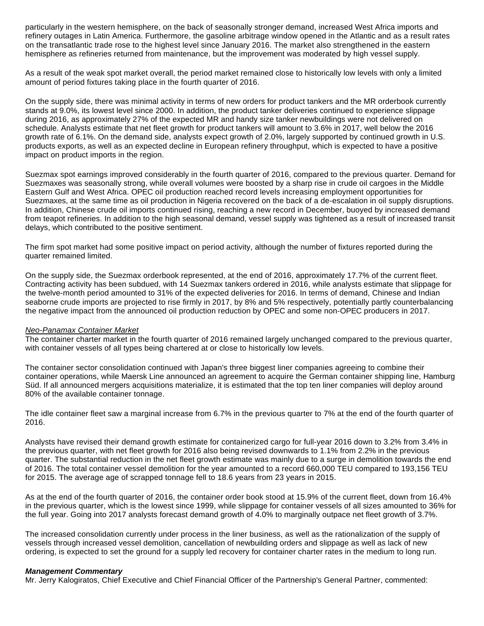particularly in the western hemisphere, on the back of seasonally stronger demand, increased West Africa imports and refinery outages in Latin America. Furthermore, the gasoline arbitrage window opened in the Atlantic and as a result rates on the transatlantic trade rose to the highest level since January 2016. The market also strengthened in the eastern hemisphere as refineries returned from maintenance, but the improvement was moderated by high vessel supply.

As a result of the weak spot market overall, the period market remained close to historically low levels with only a limited amount of period fixtures taking place in the fourth quarter of 2016.

On the supply side, there was minimal activity in terms of new orders for product tankers and the MR orderbook currently stands at 9.0%, its lowest level since 2000. In addition, the product tanker deliveries continued to experience slippage during 2016, as approximately 27% of the expected MR and handy size tanker newbuildings were not delivered on schedule. Analysts estimate that net fleet growth for product tankers will amount to 3.6% in 2017, well below the 2016 growth rate of 6.1%. On the demand side, analysts expect growth of 2.0%, largely supported by continued growth in U.S. products exports, as well as an expected decline in European refinery throughput, which is expected to have a positive impact on product imports in the region.

Suezmax spot earnings improved considerably in the fourth quarter of 2016, compared to the previous quarter. Demand for Suezmaxes was seasonally strong, while overall volumes were boosted by a sharp rise in crude oil cargoes in the Middle Eastern Gulf and West Africa. OPEC oil production reached record levels increasing employment opportunities for Suezmaxes, at the same time as oil production in Nigeria recovered on the back of a de-escalation in oil supply disruptions. In addition, Chinese crude oil imports continued rising, reaching a new record in December, buoyed by increased demand from teapot refineries. In addition to the high seasonal demand, vessel supply was tightened as a result of increased transit delays, which contributed to the positive sentiment.

The firm spot market had some positive impact on period activity, although the number of fixtures reported during the quarter remained limited.

On the supply side, the Suezmax orderbook represented, at the end of 2016, approximately 17.7% of the current fleet. Contracting activity has been subdued, with 14 Suezmax tankers ordered in 2016, while analysts estimate that slippage for the twelve-month period amounted to 31% of the expected deliveries for 2016. In terms of demand, Chinese and Indian seaborne crude imports are projected to rise firmly in 2017, by 8% and 5% respectively, potentially partly counterbalancing the negative impact from the announced oil production reduction by OPEC and some non-OPEC producers in 2017.

#### Neo-Panamax Container Market

The container charter market in the fourth quarter of 2016 remained largely unchanged compared to the previous quarter, with container vessels of all types being chartered at or close to historically low levels.

The container sector consolidation continued with Japan's three biggest liner companies agreeing to combine their container operations, while Maersk Line announced an agreement to acquire the German container shipping line, Hamburg Süd. If all announced mergers acquisitions materialize, it is estimated that the top ten liner companies will deploy around 80% of the available container tonnage.

The idle container fleet saw a marginal increase from 6.7% in the previous quarter to 7% at the end of the fourth quarter of 2016.

Analysts have revised their demand growth estimate for containerized cargo for full-year 2016 down to 3.2% from 3.4% in the previous quarter, with net fleet growth for 2016 also being revised downwards to 1.1% from 2.2% in the previous quarter. The substantial reduction in the net fleet growth estimate was mainly due to a surge in demolition towards the end of 2016. The total container vessel demolition for the year amounted to a record 660,000 TEU compared to 193,156 TEU for 2015. The average age of scrapped tonnage fell to 18.6 years from 23 years in 2015.

As at the end of the fourth quarter of 2016, the container order book stood at 15.9% of the current fleet, down from 16.4% in the previous quarter, which is the lowest since 1999, while slippage for container vessels of all sizes amounted to 36% for the full year. Going into 2017 analysts forecast demand growth of 4.0% to marginally outpace net fleet growth of 3.7%.

The increased consolidation currently under process in the liner business, as well as the rationalization of the supply of vessels through increased vessel demolition, cancellation of newbuilding orders and slippage as well as lack of new ordering, is expected to set the ground for a supply led recovery for container charter rates in the medium to long run.

#### **Management Commentary**

Mr. Jerry Kalogiratos, Chief Executive and Chief Financial Officer of the Partnership's General Partner, commented: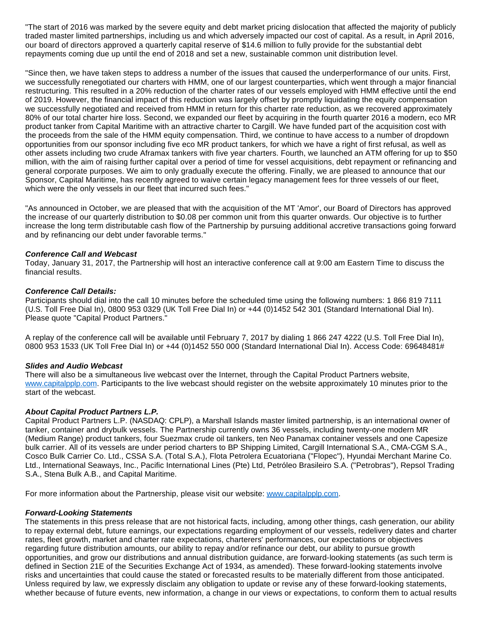"The start of 2016 was marked by the severe equity and debt market pricing dislocation that affected the majority of publicly traded master limited partnerships, including us and which adversely impacted our cost of capital. As a result, in April 2016, our board of directors approved a quarterly capital reserve of \$14.6 million to fully provide for the substantial debt repayments coming due up until the end of 2018 and set a new, sustainable common unit distribution level.

"Since then, we have taken steps to address a number of the issues that caused the underperformance of our units. First, we successfully renegotiated our charters with HMM, one of our largest counterparties, which went through a major financial restructuring. This resulted in a 20% reduction of the charter rates of our vessels employed with HMM effective until the end of 2019. However, the financial impact of this reduction was largely offset by promptly liquidating the equity compensation we successfully negotiated and received from HMM in return for this charter rate reduction, as we recovered approximately 80% of our total charter hire loss. Second, we expanded our fleet by acquiring in the fourth quarter 2016 a modern, eco MR product tanker from Capital Maritime with an attractive charter to Cargill. We have funded part of the acquisition cost with the proceeds from the sale of the HMM equity compensation. Third, we continue to have access to a number of dropdown opportunities from our sponsor including five eco MR product tankers, for which we have a right of first refusal, as well as other assets including two crude Aframax tankers with five year charters. Fourth, we launched an ATM offering for up to \$50 million, with the aim of raising further capital over a period of time for vessel acquisitions, debt repayment or refinancing and general corporate purposes. We aim to only gradually execute the offering. Finally, we are pleased to announce that our Sponsor, Capital Maritime, has recently agreed to waive certain legacy management fees for three vessels of our fleet, which were the only vessels in our fleet that incurred such fees."

"As announced in October, we are pleased that with the acquisition of the MT 'Amor', our Board of Directors has approved the increase of our quarterly distribution to \$0.08 per common unit from this quarter onwards. Our objective is to further increase the long term distributable cash flow of the Partnership by pursuing additional accretive transactions going forward and by refinancing our debt under favorable terms."

#### **Conference Call and Webcast**

Today, January 31, 2017, the Partnership will host an interactive conference call at 9:00 am Eastern Time to discuss the financial results.

#### **Conference Call Details:**

Participants should dial into the call 10 minutes before the scheduled time using the following numbers: 1 866 819 7111 (U.S. Toll Free Dial In), 0800 953 0329 (UK Toll Free Dial In) or +44 (0)1452 542 301 (Standard International Dial In). Please quote "Capital Product Partners."

A replay of the conference call will be available until February 7, 2017 by dialing 1 866 247 4222 (U.S. Toll Free Dial In), 0800 953 1533 (UK Toll Free Dial In) or +44 (0)1452 550 000 (Standard International Dial In). Access Code: 69648481#

#### **Slides and Audio Webcast**

There will also be a simultaneous live webcast over the Internet, through the Capital Product Partners website, [www.capitalpplp.com.](http://www.capitalpplp.com/) Participants to the live webcast should register on the website approximately 10 minutes prior to the start of the webcast.

#### **About Capital Product Partners L.P.**

Capital Product Partners L.P. (NASDAQ: CPLP), a Marshall Islands master limited partnership, is an international owner of tanker, container and drybulk vessels. The Partnership currently owns 36 vessels, including twenty-one modern MR (Medium Range) product tankers, four Suezmax crude oil tankers, ten Neo Panamax container vessels and one Capesize bulk carrier. All of its vessels are under period charters to BP Shipping Limited, Cargill International S.A., CMA-CGM S.A., Cosco Bulk Carrier Co. Ltd., CSSA S.A. (Total S.A.), Flota Petrolera Ecuatoriana ("Flopec"), Hyundai Merchant Marine Co. Ltd., International Seaways, Inc., Pacific International Lines (Pte) Ltd, Petróleo Brasileiro S.A. ("Petrobras"), Repsol Trading S.A., Stena Bulk A.B., and Capital Maritime.

For more information about the Partnership, please visit our website: [www.capitalpplp.com](http://www.capitalpplp.com/).

#### **Forward-Looking Statements**

The statements in this press release that are not historical facts, including, among other things, cash generation, our ability to repay external debt, future earnings, our expectations regarding employment of our vessels, redelivery dates and charter rates, fleet growth, market and charter rate expectations, charterers' performances, our expectations or objectives regarding future distribution amounts, our ability to repay and/or refinance our debt, our ability to pursue growth opportunities, and grow our distributions and annual distribution guidance, are forward-looking statements (as such term is defined in Section 21E of the Securities Exchange Act of 1934, as amended). These forward-looking statements involve risks and uncertainties that could cause the stated or forecasted results to be materially different from those anticipated. Unless required by law, we expressly disclaim any obligation to update or revise any of these forward-looking statements, whether because of future events, new information, a change in our views or expectations, to conform them to actual results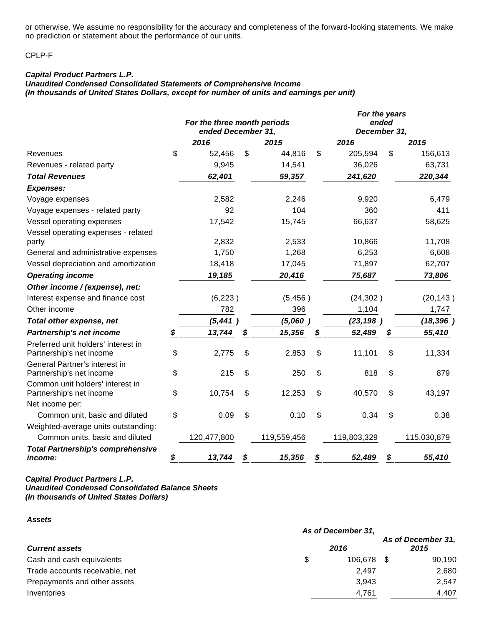or otherwise. We assume no responsibility for the accuracy and completeness of the forward-looking statements. We make no prediction or statement about the performance of our units.

CPLP-F

# **Capital Product Partners L.P.**

**Unaudited Condensed Consolidated Statements of Comprehensive Income (In thousands of United States Dollars, except for number of units and earnings per unit)**

|                                                                 | For the three month periods<br>ended December 31, |    |             | For the years<br>ended<br>December 31, |             |    |             |
|-----------------------------------------------------------------|---------------------------------------------------|----|-------------|----------------------------------------|-------------|----|-------------|
|                                                                 | 2016                                              |    | 2015        |                                        | 2016        |    | 2015        |
| Revenues                                                        | \$<br>52,456                                      | \$ | 44,816      | \$                                     | 205,594     | \$ | 156,613     |
| Revenues - related party                                        | 9,945                                             |    | 14,541      |                                        | 36,026      |    | 63,731      |
| <b>Total Revenues</b>                                           | 62,401                                            |    | 59,357      |                                        | 241,620     |    | 220,344     |
| <b>Expenses:</b>                                                |                                                   |    |             |                                        |             |    |             |
| Voyage expenses                                                 | 2,582                                             |    | 2,246       |                                        | 9,920       |    | 6,479       |
| Voyage expenses - related party                                 | 92                                                |    | 104         |                                        | 360         |    | 411         |
| Vessel operating expenses                                       | 17,542                                            |    | 15,745      |                                        | 66,637      |    | 58,625      |
| Vessel operating expenses - related                             |                                                   |    |             |                                        |             |    |             |
| party                                                           | 2,832                                             |    | 2,533       |                                        | 10,866      |    | 11,708      |
| General and administrative expenses                             | 1,750                                             |    | 1,268       |                                        | 6,253       |    | 6,608       |
| Vessel depreciation and amortization                            | 18,418                                            |    | 17,045      |                                        | 71,897      |    | 62,707      |
| <b>Operating income</b>                                         | 19,185                                            |    | 20,416      |                                        | 75,687      |    | 73,806      |
| Other income / (expense), net:                                  |                                                   |    |             |                                        |             |    |             |
| Interest expense and finance cost                               | (6, 223)                                          |    | (5,456)     |                                        | (24, 302)   |    | (20, 143)   |
| Other income                                                    | 782                                               |    | 396         |                                        | 1,104       |    | 1,747       |
| Total other expense, net                                        | (5, 441)                                          |    | (5,060)     |                                        | (23, 198)   |    | (18, 396)   |
| Partnership's net income                                        | \$<br>13,744                                      | \$ | 15,356      | S                                      | 52,489      | \$ | 55,410      |
| Preferred unit holders' interest in<br>Partnership's net income | \$<br>2,775                                       | \$ | 2,853       | \$                                     | 11,101      | \$ | 11,334      |
| General Partner's interest in<br>Partnership's net income       | \$<br>215                                         | \$ | 250         | \$                                     | 818         | \$ | 879         |
| Common unit holders' interest in                                |                                                   |    |             |                                        |             |    |             |
| Partnership's net income                                        | \$<br>10,754                                      | \$ | 12,253      | \$                                     | 40,570      | \$ | 43,197      |
| Net income per:                                                 |                                                   |    |             |                                        |             |    |             |
| Common unit, basic and diluted                                  | \$<br>0.09                                        | \$ | 0.10        | \$                                     | 0.34        | \$ | 0.38        |
| Weighted-average units outstanding:                             |                                                   |    |             |                                        |             |    |             |
| Common units, basic and diluted                                 | 120,477,800                                       |    | 119,559,456 |                                        | 119,803,329 |    | 115,030,879 |
| <b>Total Partnership's comprehensive</b><br>income:             | \$<br>13,744                                      | \$ | 15,356      | \$                                     | 52,489      | \$ | 55,410      |

## **Capital Product Partners L.P. Unaudited Condensed Consolidated Balance Sheets (In thousands of United States Dollars)**

**Assets**

|                                | As of December 31, |         |                            |
|--------------------------------|--------------------|---------|----------------------------|
| <b>Current assets</b>          |                    | 2016    | As of December 31,<br>2015 |
| Cash and cash equivalents      | \$                 | 106.678 | 90,190                     |
| Trade accounts receivable, net |                    | 2,497   | 2,680                      |
| Prepayments and other assets   |                    | 3.943   | 2.547                      |
| Inventories                    |                    | 4,761   | 4,407                      |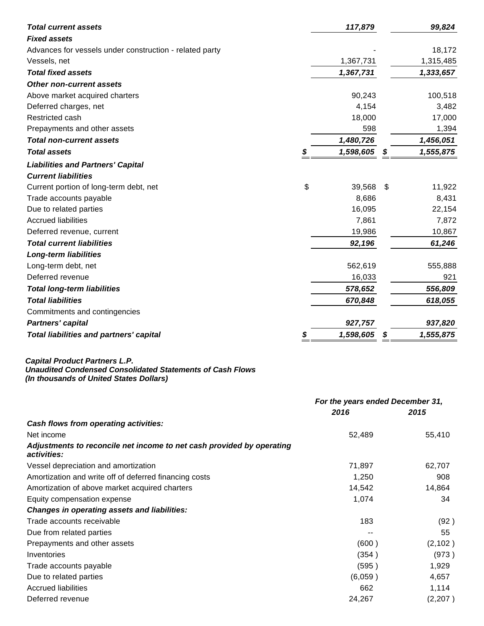| <b>Total current assets</b>                             |    | 117,879   |     | 99,824    |
|---------------------------------------------------------|----|-----------|-----|-----------|
| <b>Fixed assets</b>                                     |    |           |     |           |
| Advances for vessels under construction - related party |    |           |     | 18,172    |
| Vessels, net                                            |    | 1,367,731 |     | 1,315,485 |
| <b>Total fixed assets</b>                               |    | 1,367,731 |     | 1,333,657 |
| <b>Other non-current assets</b>                         |    |           |     |           |
| Above market acquired charters                          |    | 90,243    |     | 100,518   |
| Deferred charges, net                                   |    | 4,154     |     | 3,482     |
| Restricted cash                                         |    | 18,000    |     | 17,000    |
| Prepayments and other assets                            |    | 598       |     | 1,394     |
| <b>Total non-current assets</b>                         |    | 1,480,726 |     | 1,456,051 |
| <b>Total assets</b>                                     | S  | 1,598,605 | \$  | 1,555,875 |
| <b>Liabilities and Partners' Capital</b>                |    |           |     |           |
| <b>Current liabilities</b>                              |    |           |     |           |
| Current portion of long-term debt, net                  | \$ | 39,568    | \$. | 11,922    |
| Trade accounts payable                                  |    | 8,686     |     | 8,431     |
| Due to related parties                                  |    | 16,095    |     | 22,154    |
| <b>Accrued liabilities</b>                              |    | 7,861     |     | 7,872     |
| Deferred revenue, current                               |    | 19,986    |     | 10,867    |
| <b>Total current liabilities</b>                        |    | 92,196    |     | 61,246    |
| <b>Long-term liabilities</b>                            |    |           |     |           |
| Long-term debt, net                                     |    | 562,619   |     | 555,888   |
| Deferred revenue                                        |    | 16,033    |     | 921       |
| <b>Total long-term liabilities</b>                      |    | 578,652   |     | 556,809   |
| <b>Total liabilities</b>                                |    | 670,848   |     | 618,055   |
| Commitments and contingencies                           |    |           |     |           |
| <b>Partners' capital</b>                                |    | 927,757   |     | 937,820   |
| Total liabilities and partners' capital                 | \$ | 1,598,605 | \$  | 1,555,875 |

#### **Capital Product Partners L.P.**

**(In thousands of United States Dollars)**

|                                                                                      | For the years ended December 31, |          |  |
|--------------------------------------------------------------------------------------|----------------------------------|----------|--|
|                                                                                      | 2016                             | 2015     |  |
| Cash flows from operating activities:                                                |                                  |          |  |
| Net income                                                                           | 52,489                           | 55,410   |  |
| Adjustments to reconcile net income to net cash provided by operating<br>activities: |                                  |          |  |
| Vessel depreciation and amortization                                                 | 71,897                           | 62,707   |  |
| Amortization and write off of deferred financing costs                               | 1,250                            | 908      |  |
| Amortization of above market acquired charters                                       | 14,542                           | 14,864   |  |
| Equity compensation expense                                                          | 1,074                            | 34       |  |
| <b>Changes in operating assets and liabilities:</b>                                  |                                  |          |  |
| Trade accounts receivable                                                            | 183                              | (92)     |  |
| Due from related parties                                                             |                                  | 55       |  |
| Prepayments and other assets                                                         | (600)                            | (2, 102) |  |
| Inventories                                                                          | (354)                            | (973)    |  |
| Trade accounts payable                                                               | (595)                            | 1,929    |  |
| Due to related parties                                                               | (6,059)                          | 4,657    |  |
| <b>Accrued liabilities</b>                                                           | 662                              | 1,114    |  |
| Deferred revenue                                                                     | 24,267                           | (2,207)  |  |

**Unaudited Condensed Consolidated Statements of Cash Flows**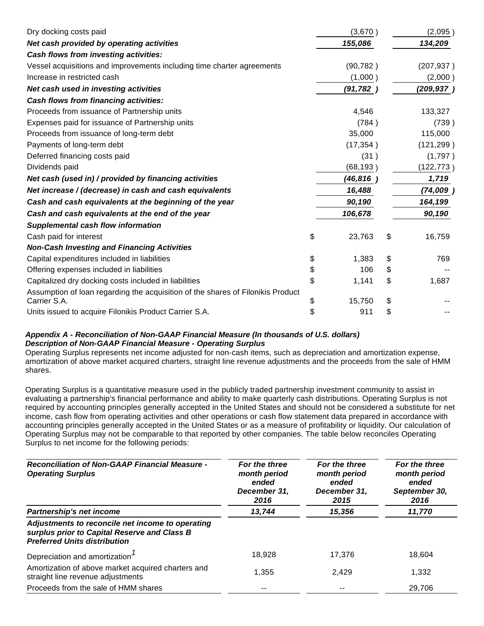| Dry docking costs paid                                                                          | (3,670)      | (2,095)      |
|-------------------------------------------------------------------------------------------------|--------------|--------------|
| Net cash provided by operating activities                                                       | 155,086      | 134,209      |
| Cash flows from investing activities:                                                           |              |              |
| Vessel acquisitions and improvements including time charter agreements                          | (90, 782)    | (207, 937)   |
| Increase in restricted cash                                                                     | (1,000)      | (2,000)      |
| Net cash used in investing activities                                                           | (91, 782)    | (209, 937)   |
| Cash flows from financing activities:                                                           |              |              |
| Proceeds from issuance of Partnership units                                                     | 4,546        | 133,327      |
| Expenses paid for issuance of Partnership units                                                 | (784)        | (739)        |
| Proceeds from issuance of long-term debt                                                        | 35,000       | 115,000      |
| Payments of long-term debt                                                                      | (17, 354)    | (121, 299)   |
| Deferred financing costs paid                                                                   | (31)         | (1,797)      |
| Dividends paid                                                                                  | (68, 193)    | (122, 773)   |
| Net cash (used in) / provided by financing activities                                           | (46,816      | 1,719        |
| Net increase / (decrease) in cash and cash equivalents                                          | 16,488       | (74,009)     |
| Cash and cash equivalents at the beginning of the year                                          | 90,190       | 164,199      |
| Cash and cash equivalents at the end of the year                                                | 106,678      | 90,190       |
| <b>Supplemental cash flow information</b>                                                       |              |              |
| Cash paid for interest                                                                          | \$<br>23,763 | \$<br>16,759 |
| <b>Non-Cash Investing and Financing Activities</b>                                              |              |              |
| Capital expenditures included in liabilities                                                    | \$<br>1,383  | \$<br>769    |
| Offering expenses included in liabilities                                                       | \$<br>106    | \$           |
| Capitalized dry docking costs included in liabilities                                           | \$<br>1,141  | \$<br>1,687  |
| Assumption of loan regarding the acquisition of the shares of Filonikis Product<br>Carrier S.A. | \$<br>15,750 | \$           |
| Units issued to acquire Filonikis Product Carrier S.A.                                          | \$<br>911    | \$           |

# **Appendix A - Reconciliation of Non-GAAP Financial Measure (In thousands of U.S. dollars) Description of Non-GAAP Financial Measure - Operating Surplus**

Operating Surplus represents net income adjusted for non-cash items, such as depreciation and amortization expense, amortization of above market acquired charters, straight line revenue adjustments and the proceeds from the sale of HMM shares.

Operating Surplus is a quantitative measure used in the publicly traded partnership investment community to assist in evaluating a partnership's financial performance and ability to make quarterly cash distributions. Operating Surplus is not required by accounting principles generally accepted in the United States and should not be considered a substitute for net income, cash flow from operating activities and other operations or cash flow statement data prepared in accordance with accounting principles generally accepted in the United States or as a measure of profitability or liquidity. Our calculation of Operating Surplus may not be comparable to that reported by other companies. The table below reconciles Operating Surplus to net income for the following periods:

| <b>Reconciliation of Non-GAAP Financial Measure -</b><br><b>Operating Surplus</b>                                                       | For the three<br>month period<br>ended<br>December 31,<br>2016 | For the three<br>month period<br>ended<br>December 31,<br>2015 | For the three<br>month period<br>ended<br>September 30,<br>2016 |  |
|-----------------------------------------------------------------------------------------------------------------------------------------|----------------------------------------------------------------|----------------------------------------------------------------|-----------------------------------------------------------------|--|
| Partnership's net income                                                                                                                | 13,744                                                         | 15,356                                                         | 11,770                                                          |  |
| Adjustments to reconcile net income to operating<br>surplus prior to Capital Reserve and Class B<br><b>Preferred Units distribution</b> |                                                                |                                                                |                                                                 |  |
| Depreciation and amortization <sup>1</sup>                                                                                              | 18.928                                                         | 17.376                                                         | 18.604                                                          |  |
| Amortization of above market acquired charters and<br>straight line revenue adjustments                                                 | 1,355                                                          | 2.429                                                          | 1,332                                                           |  |
| Proceeds from the sale of HMM shares                                                                                                    |                                                                | --                                                             | 29.706                                                          |  |